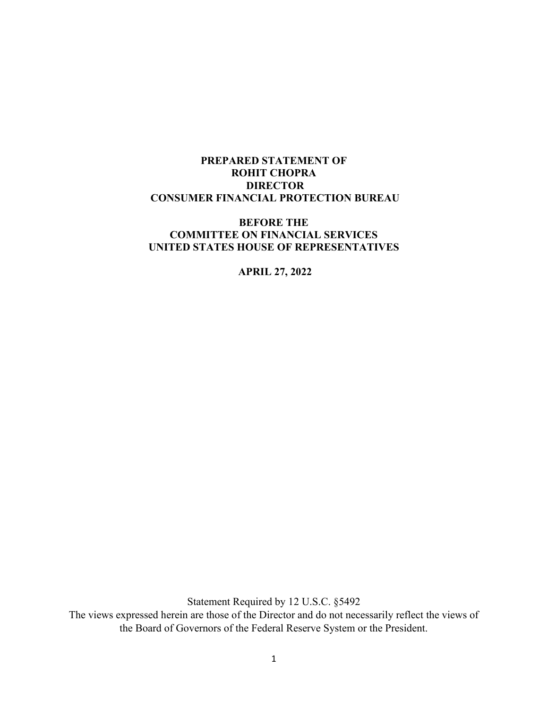### **PREPARED STATEMENT OF ROHIT CHOPRA DIRECTOR CONSUMER FINANCIAL PROTECTION BUREAU**

### **BEFORE THE COMMITTEE ON FINANCIAL SERVICES UNITED STATES HOUSE OF REPRESENTATIVES**

#### **APRIL 27, 2022**

Statement Required by 12 U.S.C. §5492

The views expressed herein are those of the Director and do not necessarily reflect the views of the Board of Governors of the Federal Reserve System or the President.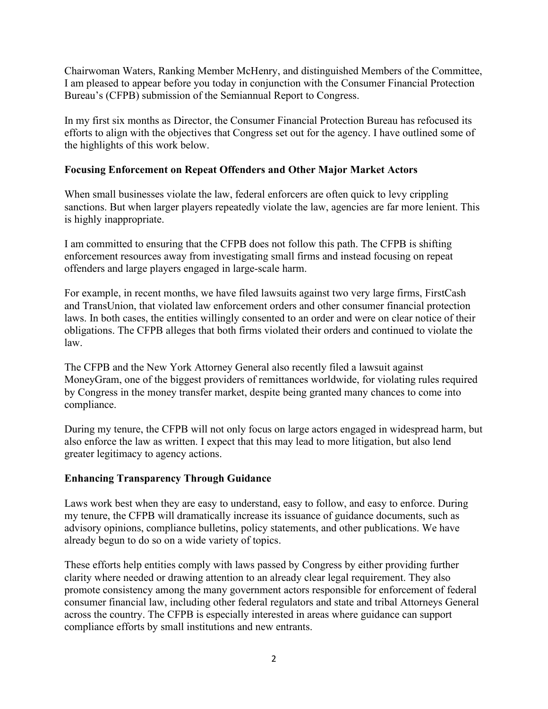Chairwoman Waters, Ranking Member McHenry, and distinguished Members of the Committee, I am pleased to appear before you today in conjunction with the Consumer Financial Protection Bureau's (CFPB) submission of the Semiannual Report to Congress.

In my first six months as Director, the Consumer Financial Protection Bureau has refocused its efforts to align with the objectives that Congress set out for the agency. I have outlined some of the highlights of this work below.

### **Focusing Enforcement on Repeat Offenders and Other Major Market Actors**

When small businesses violate the law, federal enforcers are often quick to levy crippling sanctions. But when larger players repeatedly violate the law, agencies are far more lenient. This is highly inappropriate.

I am committed to ensuring that the CFPB does not follow this path. The CFPB is shifting enforcement resources away from investigating small firms and instead focusing on repeat offenders and large players engaged in large-scale harm.

For example, in recent months, we have filed lawsuits against two very large firms, FirstCash and TransUnion, that violated law enforcement orders and other consumer financial protection laws. In both cases, the entities willingly consented to an order and were on clear notice of their obligations. The CFPB alleges that both firms violated their orders and continued to violate the law.

The CFPB and the New York Attorney General also recently filed a lawsuit against MoneyGram, one of the biggest providers of remittances worldwide, for violating rules required by Congress in the money transfer market, despite being granted many chances to come into compliance.

During my tenure, the CFPB will not only focus on large actors engaged in widespread harm, but also enforce the law as written. I expect that this may lead to more litigation, but also lend greater legitimacy to agency actions.

### **Enhancing Transparency Through Guidance**

Laws work best when they are easy to understand, easy to follow, and easy to enforce. During my tenure, the CFPB will dramatically increase its issuance of guidance documents, such as advisory opinions, compliance bulletins, policy statements, and other publications. We have already begun to do so on a wide variety of topics.

These efforts help entities comply with laws passed by Congress by either providing further clarity where needed or drawing attention to an already clear legal requirement. They also promote consistency among the many government actors responsible for enforcement of federal consumer financial law, including other federal regulators and state and tribal Attorneys General across the country. The CFPB is especially interested in areas where guidance can support compliance efforts by small institutions and new entrants.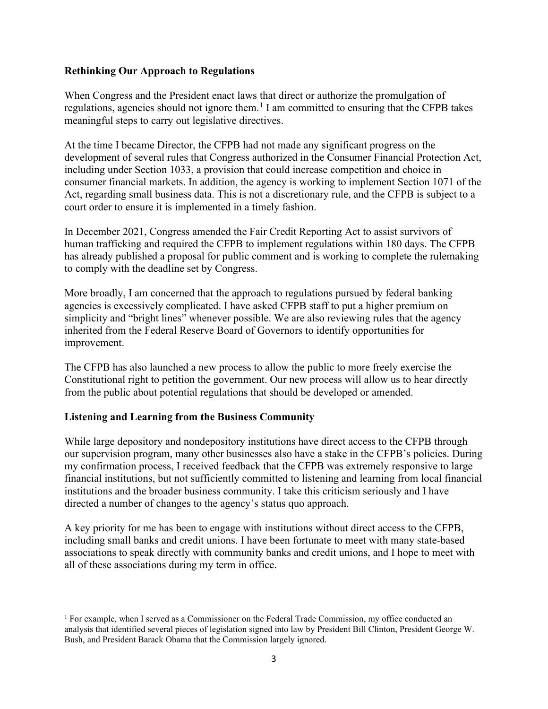### **Rethinking Our Approach to Regulations**

When Congress and the President enact laws that direct or authorize the promulgation of regulations, agencies should not ignore them.<sup>[1](#page-2-0)</sup> I am committed to ensuring that the CFPB takes meaningful steps to carry out legislative directives.

At the time I became Director, the CFPB had not made any significant progress on the development of several rules that Congress authorized in the Consumer Financial Protection Act, including under Section 1033, a provision that could increase competition and choice in consumer financial markets. In addition, the agency is working to implement Section 1071 of the Act, regarding small business data. This is not a discretionary rule, and the CFPB is subject to a court order to ensure it is implemented in a timely fashion.

In December 2021, Congress amended the Fair Credit Reporting Act to assist survivors of human trafficking and required the CFPB to implement regulations within 180 days. The CFPB has already published a proposal for public comment and is working to complete the rulemaking to comply with the deadline set by Congress.

More broadly, I am concerned that the approach to regulations pursued by federal banking agencies is excessively complicated. I have asked CFPB staff to put a higher premium on simplicity and "bright lines" whenever possible. We are also reviewing rules that the agency inherited from the Federal Reserve Board of Governors to identify opportunities for improvement.

The CFPB has also launched a new process to allow the public to more freely exercise the Constitutional right to petition the government. Our new process will allow us to hear directly from the public about potential regulations that should be developed or amended.

# **Listening and Learning from the Business Community**

While large depository and nondepository institutions have direct access to the CFPB through our supervision program, many other businesses also have a stake in the CFPB's policies. During my confirmation process, I received feedback that the CFPB was extremely responsive to large financial institutions, but not sufficiently committed to listening and learning from local financial institutions and the broader business community. I take this criticism seriously and I have directed a number of changes to the agency's status quo approach.

A key priority for me has been to engage with institutions without direct access to the CFPB, including small banks and credit unions. I have been fortunate to meet with many state-based associations to speak directly with community banks and credit unions, and I hope to meet with all of these associations during my term in office.

<span id="page-2-0"></span><sup>1</sup> For example, when I served as a Commissioner on the Federal Trade Commission, my office conducted an analysis that identified several pieces of legislation signed into law by President Bill Clinton, President George W. Bush, and President Barack Obama that the Commission largely ignored.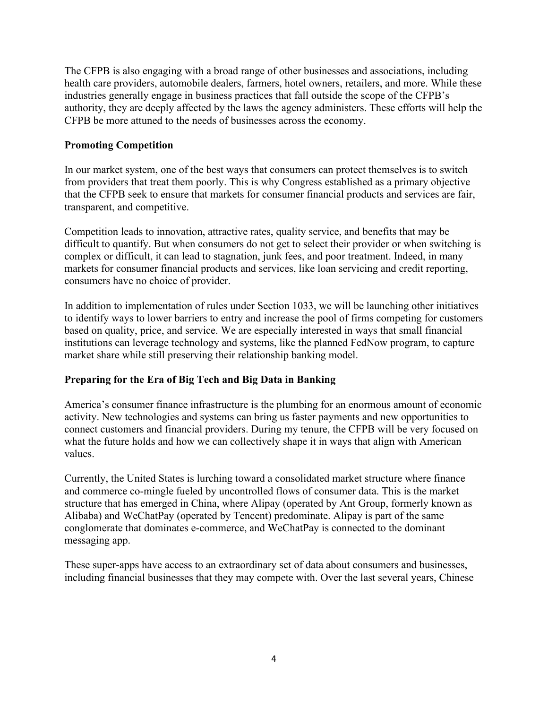The CFPB is also engaging with a broad range of other businesses and associations, including health care providers, automobile dealers, farmers, hotel owners, retailers, and more. While these industries generally engage in business practices that fall outside the scope of the CFPB's authority, they are deeply affected by the laws the agency administers. These efforts will help the CFPB be more attuned to the needs of businesses across the economy.

### **Promoting Competition**

In our market system, one of the best ways that consumers can protect themselves is to switch from providers that treat them poorly. This is why Congress established as a primary objective that the CFPB seek to ensure that markets for consumer financial products and services are fair, transparent, and competitive.

Competition leads to innovation, attractive rates, quality service, and benefits that may be difficult to quantify. But when consumers do not get to select their provider or when switching is complex or difficult, it can lead to stagnation, junk fees, and poor treatment. Indeed, in many markets for consumer financial products and services, like loan servicing and credit reporting, consumers have no choice of provider.

In addition to implementation of rules under Section 1033, we will be launching other initiatives to identify ways to lower barriers to entry and increase the pool of firms competing for customers based on quality, price, and service. We are especially interested in ways that small financial institutions can leverage technology and systems, like the planned FedNow program, to capture market share while still preserving their relationship banking model.

# **Preparing for the Era of Big Tech and Big Data in Banking**

America's consumer finance infrastructure is the plumbing for an enormous amount of economic activity. New technologies and systems can bring us faster payments and new opportunities to connect customers and financial providers. During my tenure, the CFPB will be very focused on what the future holds and how we can collectively shape it in ways that align with American values.

Currently, the United States is lurching toward a consolidated market structure where finance and commerce co-mingle fueled by uncontrolled flows of consumer data. This is the market structure that has emerged in China, where Alipay (operated by Ant Group, formerly known as Alibaba) and WeChatPay (operated by Tencent) predominate. Alipay is part of the same conglomerate that dominates e-commerce, and WeChatPay is connected to the dominant messaging app.

These super-apps have access to an extraordinary set of data about consumers and businesses, including financial businesses that they may compete with. Over the last several years, Chinese